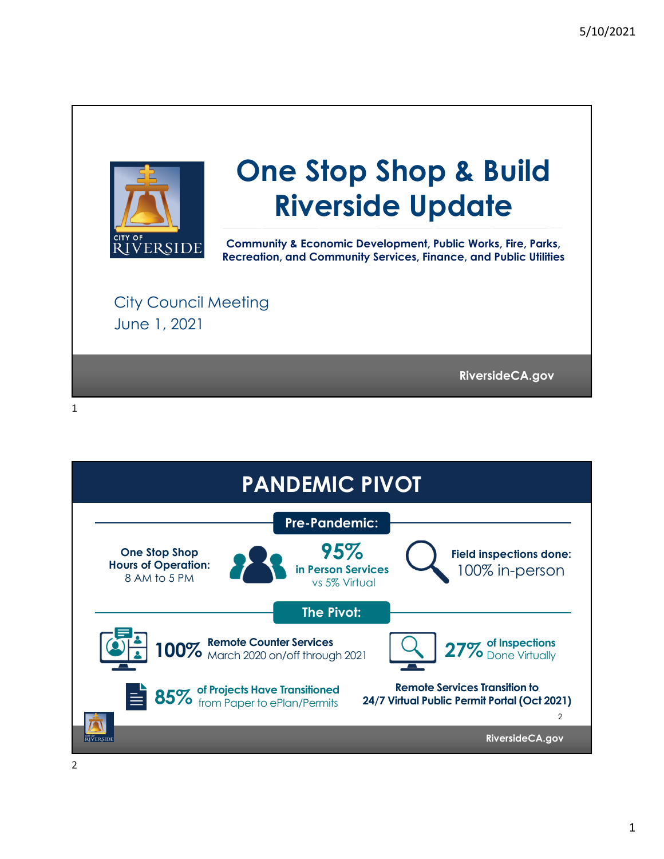

## **One Stop Shop & Build Riverside Update**

**Community & Economic Development, Public Works, Fire, Parks, Recreation, and Community Services, Finance, and Public Utilities** 

City Council Meeting June 1, 2021

**RiversideCA.gov RiversideCA.gov**



1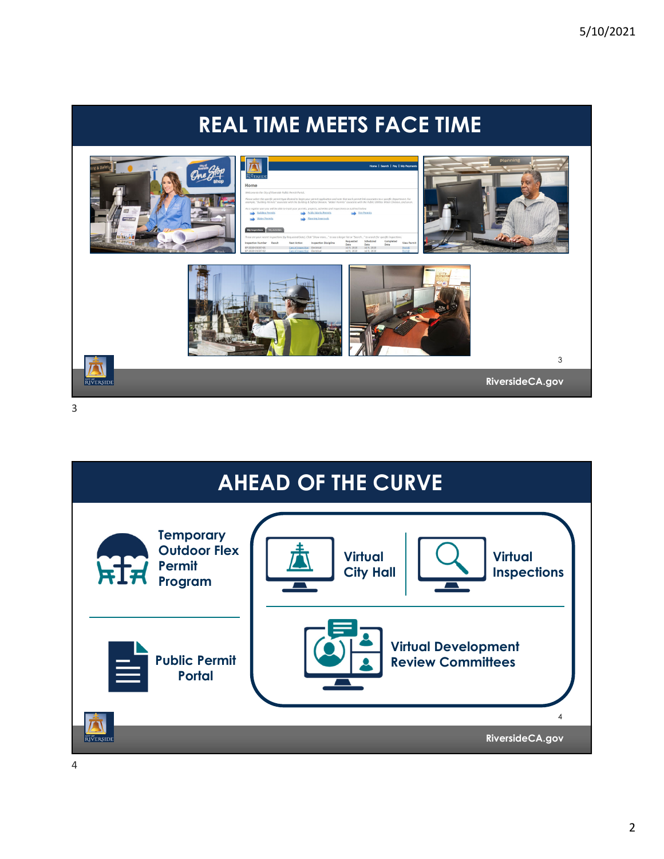## **REAL TIME MEETS FACE TIME**



3

![](_page_1_Picture_4.jpeg)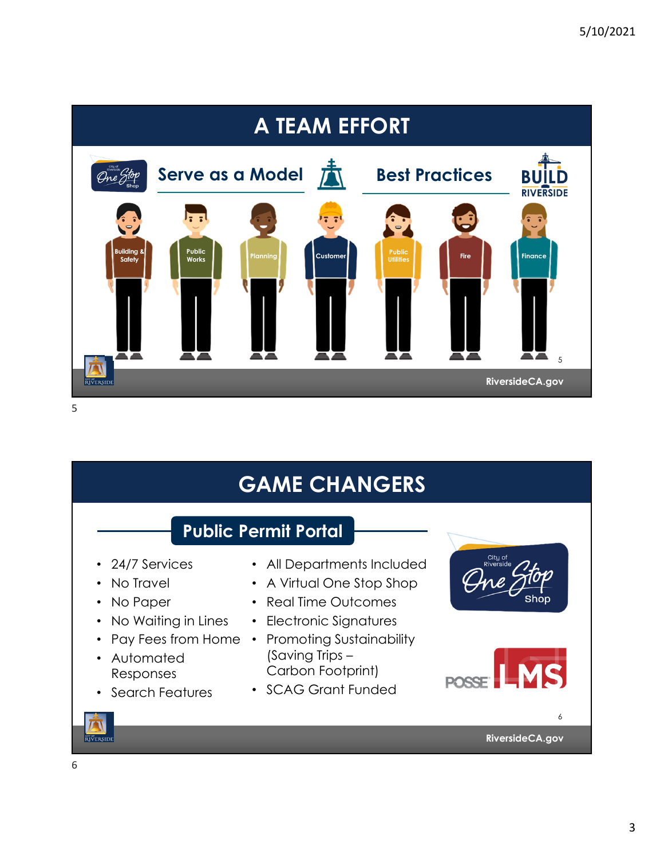![](_page_2_Figure_1.jpeg)

![](_page_2_Picture_3.jpeg)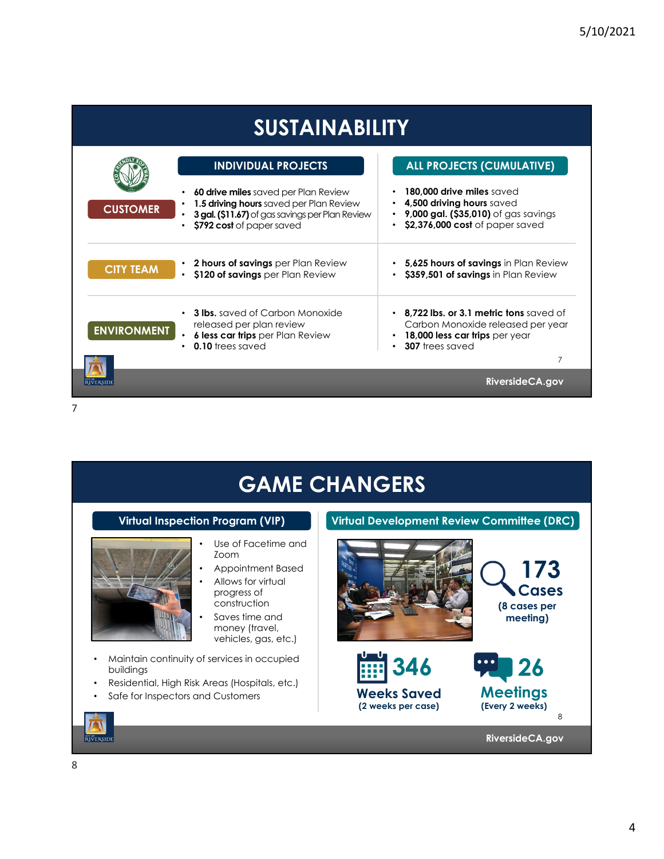| <b>SUSTAINABILITY</b> |                                                                                                                                                                        |                                                                                                                                                |
|-----------------------|------------------------------------------------------------------------------------------------------------------------------------------------------------------------|------------------------------------------------------------------------------------------------------------------------------------------------|
|                       | <b>INDIVIDUAL PROJECTS</b>                                                                                                                                             | <b>ALL PROJECTS (CUMULATIVE)</b>                                                                                                               |
| <b>CUSTOMER</b>       | <b>60 drive miles</b> saved per Plan Review<br>1.5 driving hours saved per Plan Review<br>3 gal. (\$11.67) of gas savings per Plan Review<br>\$792 cost of paper saved | 180.000 drive miles saved<br>4,500 driving hours saved<br>$\bullet$<br>9,000 gal. (\$35,010) of gas savings<br>\$2,376,000 cost of paper saved |
| <b>CITY TEAM</b>      | 2 hours of savings per Plan Review<br>\$120 of savings per Plan Review<br>$\bullet$                                                                                    | 5,625 hours of savings in Plan Review<br>\$359,501 of savings in Plan Review                                                                   |
| <b>ENVIRONMENT</b>    | <b>3 lbs.</b> saved of Carbon Monoxide<br>released per plan review<br>6 less car trips per Plan Review<br>0.10 trees saved                                             | 8,722 lbs. or 3.1 metric tons saved of<br>Carbon Monoxide released per year<br>18,000 less car trips per year<br>307 trees saved<br>7          |
|                       |                                                                                                                                                                        | Riverside CA.gov                                                                                                                               |
| 7                     |                                                                                                                                                                        |                                                                                                                                                |

**GAME CHANGERS Virtual Inspection Program (VIP) Virtual Development Review Committee (DRC)** • Use of Facetime and Zoom **173** • Appointment Based • Allows for virtual **Cases** progress of construction **(8 cases per**  Saves time and **meeting)**  money (travel, vehicles, gas, etc.) • Maintain continuity of services in occupied **346 26** buildings • Residential, High Risk Areas (Hospitals, etc.) **Meetings Weeks Saved** Safe for Inspectors and Customers **(Every 2 weeks) (2 weeks per case)** 8  $\overline{I}$ **RIVERSIDE RiversideCA.gov**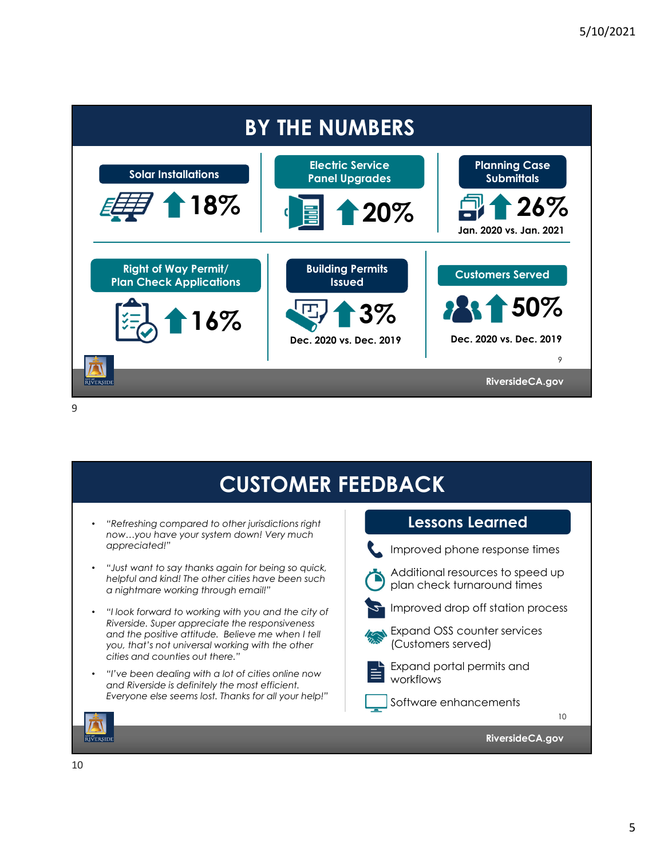![](_page_4_Figure_1.jpeg)

9

| <b>CUSTOMER FEEDBACK</b>                                                               |  |  |
|----------------------------------------------------------------------------------------|--|--|
| <b>Lessons Learned</b>                                                                 |  |  |
| Improved phone response times                                                          |  |  |
| Additional resources to speed up<br>plan check turnaround times                        |  |  |
| Improved drop off station process<br>Expand OSS counter services<br>(Customers served) |  |  |
| Expand portal permits and<br>workflows<br>Software enhancements                        |  |  |
| 10                                                                                     |  |  |
| Riverside CA.gov                                                                       |  |  |
|                                                                                        |  |  |